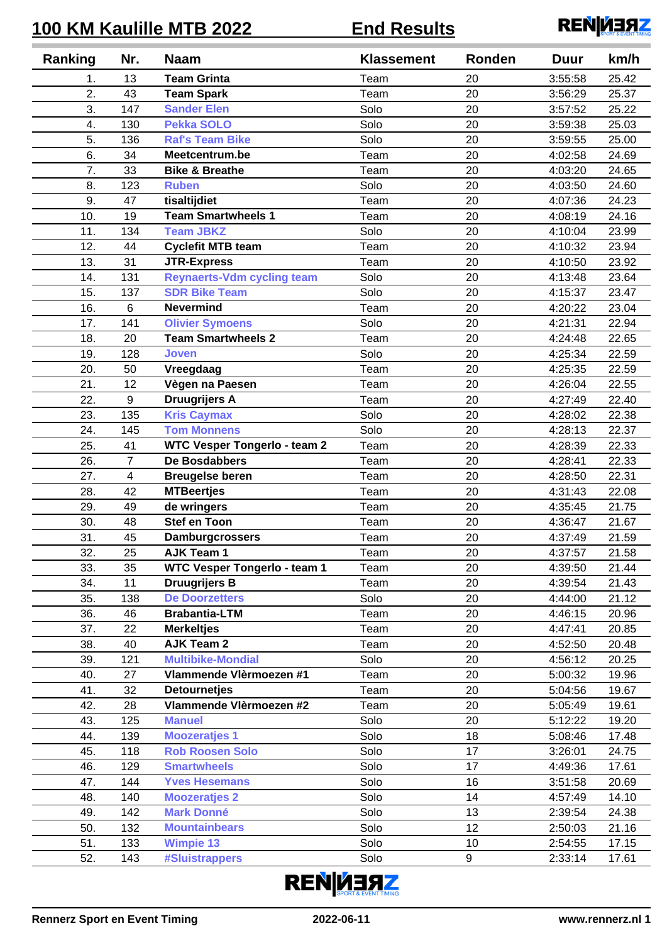## **100 KM Kaulille MTB 2022 End Results**



| Ranking | Nr.            | <b>Naam</b>                         | <b>Klassement</b> | Ronden | <b>Duur</b> | km/h  |
|---------|----------------|-------------------------------------|-------------------|--------|-------------|-------|
| 1.      | 13             | <b>Team Grinta</b>                  | Team              | 20     | 3:55:58     | 25.42 |
| 2.      | 43             | <b>Team Spark</b>                   | Team              | 20     | 3:56:29     | 25.37 |
| 3.      | 147            | <b>Sander Elen</b>                  | Solo              | 20     | 3:57:52     | 25.22 |
| 4.      | 130            | <b>Pekka SOLO</b>                   | Solo              | 20     | 3:59:38     | 25.03 |
| 5.      | 136            | <b>Raf's Team Bike</b>              | Solo              | 20     | 3:59:55     | 25.00 |
| 6.      | 34             | Meetcentrum.be                      | Team              | 20     | 4:02:58     | 24.69 |
| 7.      | 33             | <b>Bike &amp; Breathe</b>           | Team              | 20     | 4:03:20     | 24.65 |
| 8.      | 123            | <b>Ruben</b>                        | Solo              | 20     | 4:03:50     | 24.60 |
| 9.      | 47             | tisaltijdiet                        | Team              | 20     | 4:07:36     | 24.23 |
| 10.     | 19             | <b>Team Smartwheels 1</b>           | Team              | 20     | 4:08:19     | 24.16 |
| 11.     | 134            | <b>Team JBKZ</b>                    | Solo              | 20     | 4:10:04     | 23.99 |
| 12.     | 44             | <b>Cyclefit MTB team</b>            | Team              | 20     | 4:10:32     | 23.94 |
| 13.     | 31             | <b>JTR-Express</b>                  | Team              | 20     | 4:10:50     | 23.92 |
| 14.     | 131            | <b>Reynaerts-Vdm cycling team</b>   | Solo              | 20     | 4:13:48     | 23.64 |
| 15.     | 137            | <b>SDR Bike Team</b>                | Solo              | 20     | 4:15:37     | 23.47 |
| 16.     | $\,6$          | <b>Nevermind</b>                    | Team              | 20     | 4:20:22     | 23.04 |
| 17.     | 141            | <b>Olivier Symoens</b>              | Solo              | 20     | 4:21:31     | 22.94 |
| 18.     | 20             | <b>Team Smartwheels 2</b>           | Team              | 20     | 4:24:48     | 22.65 |
| 19.     | 128            | <b>Joven</b>                        | Solo              | 20     | 4:25:34     | 22.59 |
| 20.     | 50             | Vreegdaag                           | Team              | 20     | 4:25:35     | 22.59 |
| 21.     | 12             | Vègen na Paesen                     | Team              | 20     | 4:26:04     | 22.55 |
| 22.     | 9              | <b>Druugrijers A</b>                | Team              | 20     | 4:27:49     | 22.40 |
| 23.     | 135            | <b>Kris Caymax</b>                  | Solo              | 20     | 4:28:02     | 22.38 |
| 24.     | 145            | <b>Tom Monnens</b>                  | Solo              | 20     | 4:28:13     | 22.37 |
| 25.     | 41             | <b>WTC Vesper Tongerlo - team 2</b> | Team              | 20     | 4:28:39     | 22.33 |
| 26.     | $\overline{7}$ | <b>De Bosdabbers</b>                | Team              | 20     | 4:28:41     | 22.33 |
| 27.     | 4              | <b>Breugelse beren</b>              | Team              | 20     | 4:28:50     | 22.31 |
| 28.     | 42             | <b>MTBeertjes</b>                   | Team              | 20     | 4:31:43     | 22.08 |
| 29.     | 49             | de wringers                         | Team              | 20     | 4:35:45     | 21.75 |
| 30.     | 48             | <b>Stef en Toon</b>                 | Team              | 20     | 4:36:47     | 21.67 |
| 31.     | 45             | <b>Damburgcrossers</b>              | Team              | 20     | 4:37:49     | 21.59 |
| 32.     | 25             | <b>AJK Team 1</b>                   | Team              | 20     | 4:37:57     | 21.58 |
| 33.     | 35             | <b>WTC Vesper Tongerlo - team 1</b> | Team              | 20     | 4:39:50     | 21.44 |
| 34.     | 11             | <b>Druugrijers B</b>                | Team              | 20     | 4:39:54     | 21.43 |
| 35.     | 138            | <b>De Doorzetters</b>               | Solo              | 20     | 4:44:00     | 21.12 |
| 36.     | 46             | <b>Brabantia-LTM</b>                | Team              | 20     | 4:46:15     | 20.96 |
| 37.     | 22             | <b>Merkeltjes</b>                   | Team              | 20     | 4:47:41     | 20.85 |
| 38.     | 40             | <b>AJK Team 2</b>                   | Team              | 20     | 4:52:50     | 20.48 |
| 39.     | 121            | <b>Multibike-Mondial</b>            | Solo              | 20     | 4:56:12     | 20.25 |
| 40.     | 27             | Vlammende Vlèrmoezen #1             | Team              | 20     | 5:00:32     | 19.96 |
| 41.     | 32             | <b>Detournetjes</b>                 | Team              | 20     | 5:04:56     | 19.67 |
| 42.     | 28             | Vlammende Vlèrmoezen #2             | Team              | 20     | 5:05:49     | 19.61 |
| 43.     | 125            | <b>Manuel</b>                       | Solo              | 20     | 5:12:22     | 19.20 |
| 44.     | 139            | <b>Moozeratjes 1</b>                | Solo              | 18     | 5:08:46     | 17.48 |
| 45.     | 118            | <b>Rob Roosen Solo</b>              | Solo              | 17     | 3:26:01     | 24.75 |
| 46.     | 129            | <b>Smartwheels</b>                  | Solo              | 17     | 4:49:36     | 17.61 |
| 47.     | 144            | <b>Yves Hesemans</b>                | Solo              | 16     | 3:51:58     | 20.69 |
| 48.     | 140            | <b>Moozeratjes 2</b>                | Solo              | 14     | 4:57:49     | 14.10 |
| 49.     | 142            | <b>Mark Donné</b>                   | Solo              | 13     | 2:39:54     | 24.38 |
| 50.     | 132            | <b>Mountainbears</b>                | Solo              | 12     | 2:50:03     | 21.16 |
| 51.     | 133            | <b>Wimpie 13</b>                    | Solo              | 10     | 2:54:55     | 17.15 |
| 52.     | 143            | #Sluistrappers                      | Solo              | 9      | 2:33:14     | 17.61 |
|         |                |                                     |                   |        |             |       |